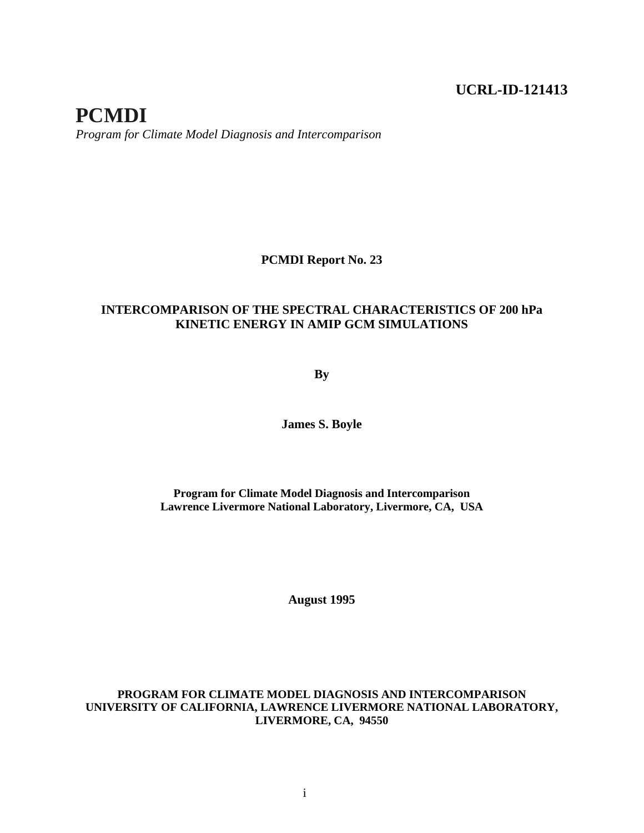## **UCRL-ID-121413**

# **PCMDI** *Program for Climate Model Diagnosis and Intercomparison*

#### **PCMDI Report No. 23**

#### **INTERCOMPARISON OF THE SPECTRAL CHARACTERISTICS OF 200 hPa KINETIC ENERGY IN AMIP GCM SIMULATIONS**

**By**

**James S. Boyle**

**Program for Climate Model Diagnosis and Intercomparison Lawrence Livermore National Laboratory, Livermore, CA, USA**

**August 1995**

#### **PROGRAM FOR CLIMATE MODEL DIAGNOSIS AND INTERCOMPARISON UNIVERSITY OF CALIFORNIA, LAWRENCE LIVERMORE NATIONAL LABORATORY, LIVERMORE, CA, 94550**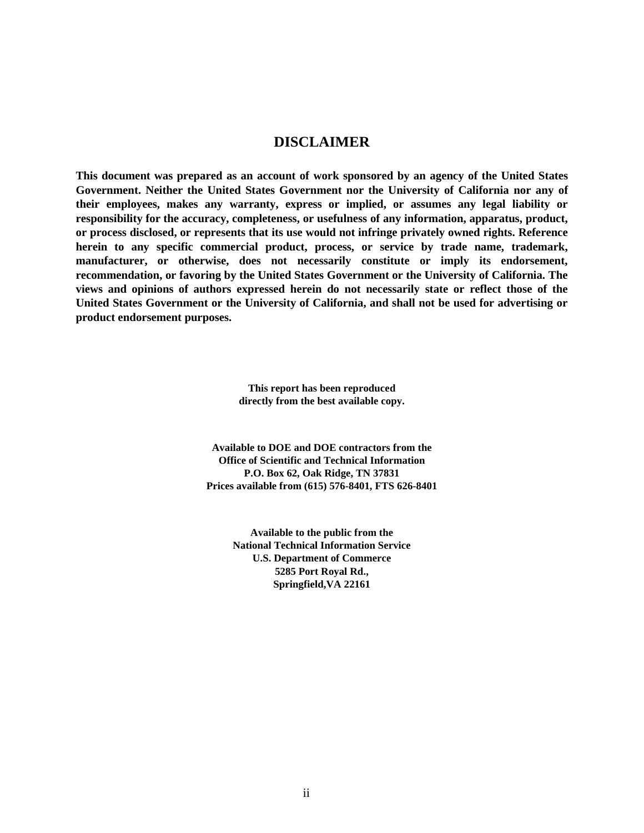#### **DISCLAIMER**

**This document was prepared as an account of work sponsored by an agency of the United States Government. Neither the United States Government nor the University of California nor any of their employees, makes any warranty, express or implied, or assumes any legal liability or responsibility for the accuracy, completeness, or usefulness of any information, apparatus, product, or process disclosed, or represents that its use would not infringe privately owned rights. Reference herein to any specific commercial product, process, or service by trade name, trademark, manufacturer, or otherwise, does not necessarily constitute or imply its endorsement, recommendation, or favoring by the United States Government or the University of California. The views and opinions of authors expressed herein do not necessarily state or reflect those of the United States Government or the University of California, and shall not be used for advertising or product endorsement purposes.**

> **This report has been reproduced directly from the best available copy.**

**Available to DOE and DOE contractors from the Office of Scientific and Technical Information P.O. Box 62, Oak Ridge, TN 37831 Prices available from (615) 576-8401, FTS 626-8401**

> **Available to the public from the National Technical Information Service U.S. Department of Commerce 5285 Port Royal Rd., Springfield,VA 22161**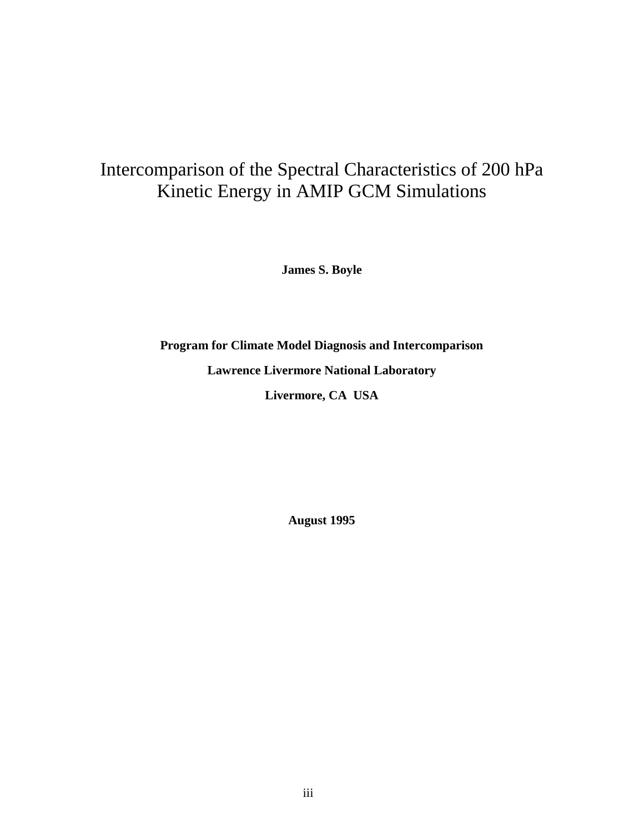# Intercomparison of the Spectral Characteristics of 200 hPa Kinetic Energy in AMIP GCM Simulations

**James S. Boyle**

**Program for Climate Model Diagnosis and Intercomparison Lawrence Livermore National Laboratory Livermore, CA USA**

**August 1995**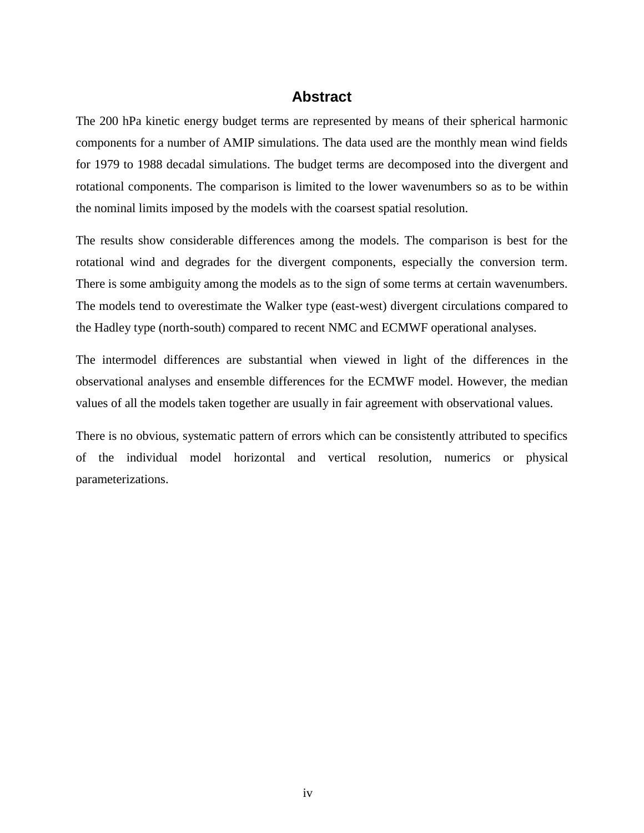### **Abstract**

The 200 hPa kinetic energy budget terms are represented by means of their spherical harmonic components for a number of AMIP simulations. The data used are the monthly mean wind fields for 1979 to 1988 decadal simulations. The budget terms are decomposed into the divergent and rotational components. The comparison is limited to the lower wavenumbers so as to be within the nominal limits imposed by the models with the coarsest spatial resolution.

The results show considerable differences among the models. The comparison is best for the rotational wind and degrades for the divergent components, especially the conversion term. There is some ambiguity among the models as to the sign of some terms at certain wavenumbers. The models tend to overestimate the Walker type (east-west) divergent circulations compared to the Hadley type (north-south) compared to recent NMC and ECMWF operational analyses.

The intermodel differences are substantial when viewed in light of the differences in the observational analyses and ensemble differences for the ECMWF model. However, the median values of all the models taken together are usually in fair agreement with observational values.

There is no obvious, systematic pattern of errors which can be consistently attributed to specifics of the individual model horizontal and vertical resolution, numerics or physical parameterizations.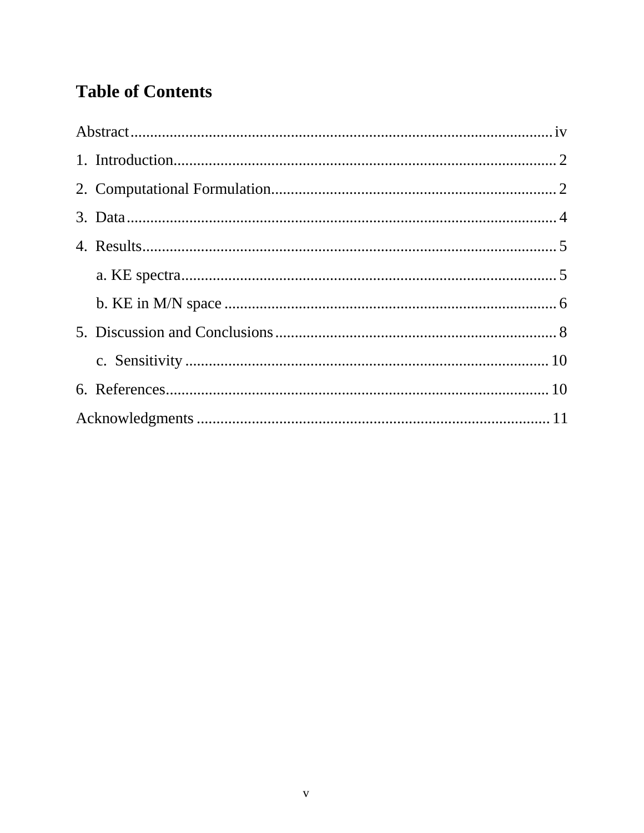# **Table of Contents**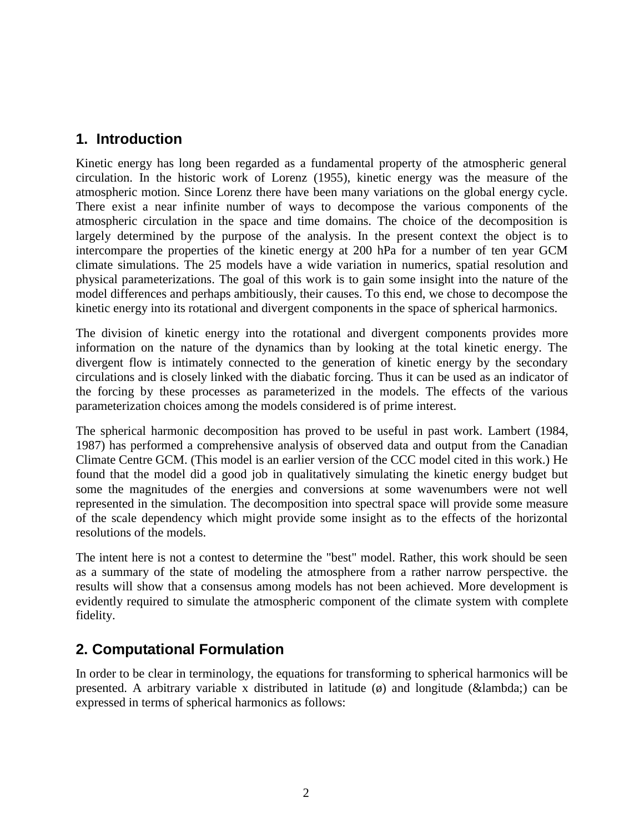## **1. Introduction**

Kinetic energy has long been regarded as a fundamental property of the atmospheric general circulation. In the historic work of Lorenz (1955), kinetic energy was the measure of the atmospheric motion. Since Lorenz there have been many variations on the global energy cycle. There exist a near infinite number of ways to decompose the various components of the atmospheric circulation in the space and time domains. The choice of the decomposition is largely determined by the purpose of the analysis. In the present context the object is to intercompare the properties of the kinetic energy at 200 hPa for a number of ten year GCM climate simulations. The 25 models have a wide variation in numerics, spatial resolution and physical parameterizations. The goal of this work is to gain some insight into the nature of the model differences and perhaps ambitiously, their causes. To this end, we chose to decompose the kinetic energy into its rotational and divergent components in the space of spherical harmonics.

The division of kinetic energy into the rotational and divergent components provides more information on the nature of the dynamics than by looking at the total kinetic energy. The divergent flow is intimately connected to the generation of kinetic energy by the secondary circulations and is closely linked with the diabatic forcing. Thus it can be used as an indicator of the forcing by these processes as parameterized in the models. The effects of the various parameterization choices among the models considered is of prime interest.

The spherical harmonic decomposition has proved to be useful in past work. Lambert (1984, 1987) has performed a comprehensive analysis of observed data and output from the Canadian Climate Centre GCM. (This model is an earlier version of the CCC model cited in this work.) He found that the model did a good job in qualitatively simulating the kinetic energy budget but some the magnitudes of the energies and conversions at some wavenumbers were not well represented in the simulation. The decomposition into spectral space will provide some measure of the scale dependency which might provide some insight as to the effects of the horizontal resolutions of the models.

The intent here is not a contest to determine the "best" model. Rather, this work should be seen as a summary of the state of modeling the atmosphere from a rather narrow perspective. the results will show that a consensus among models has not been achieved. More development is evidently required to simulate the atmospheric component of the climate system with complete fidelity.

## **2. Computational Formulation**

In order to be clear in terminology, the equations for transforming to spherical harmonics will be presented. A arbitrary variable x distributed in latitude  $(\emptyset)$  and longitude (λ) can be expressed in terms of spherical harmonics as follows: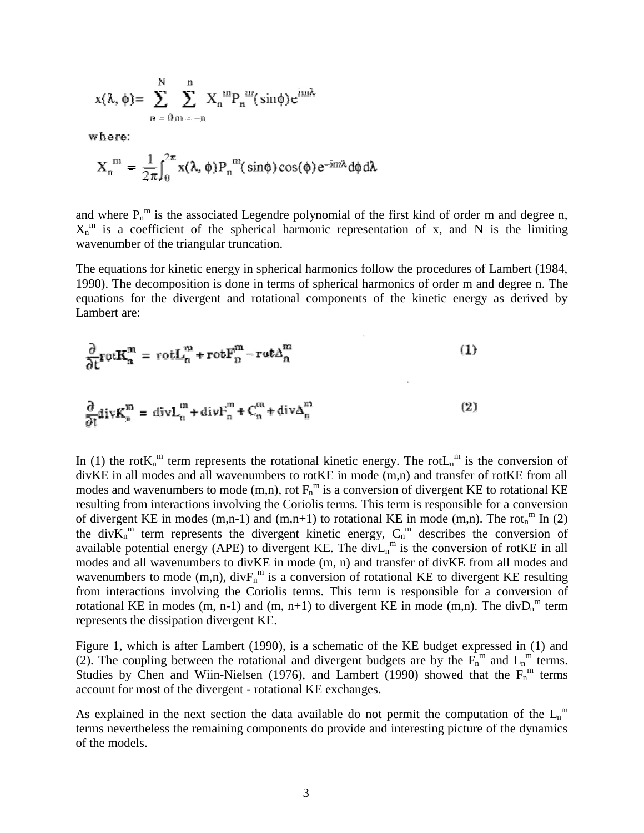$$
x(\lambda, \phi) = \sum_{n=0}^{N} \sum_{m=-n}^{n} X_n^{m} P_n^{m}(\sin \phi) e^{in\lambda}
$$

where:

$$
X_n^m = \frac{1}{2\pi} \int_0^{2\pi} x(\lambda, \phi) P_n^m(\sin\phi) \cos(\phi) e^{-im\lambda} d\phi d\lambda
$$

and where  $P_n^m$  is the associated Legendre polynomial of the first kind of order m and degree n,  $X_n^m$  is a coefficient of the spherical harmonic representation of x, and N is the limiting wavenumber of the triangular truncation.

The equations for kinetic energy in spherical harmonics follow the procedures of Lambert (1984, 1990). The decomposition is done in terms of spherical harmonics of order m and degree n. The equations for the divergent and rotational components of the kinetic energy as derived by Lambert are:

$$
\frac{\partial}{\partial t} \text{rot} \mathbf{K}_n^m = \text{rot} \mathbf{L}_n^m + \text{rot} \mathbf{F}_n^m - \text{rot} \Delta_n^m
$$
\n
$$
\frac{\partial}{\partial t} \text{div} \mathbf{K}_n^m = \text{div} \mathbf{L}_n^m + \text{div} \mathbf{F}_n^m + \mathbf{C}_n^m + \text{div} \Delta_n^m
$$
\n(1)

In (1) the rot $K_n^m$  term represents the rotational kinetic energy. The rot $L_n^m$  is the conversion of divKE in all modes and all wavenumbers to rotKE in mode (m,n) and transfer of rotKE from all modes and wavenumbers to mode (m,n), rot  $F_n^m$  is a conversion of divergent KE to rotational KE resulting from interactions involving the Coriolis terms. This term is responsible for a conversion of divergent KE in modes  $(m,n-1)$  and  $(m,n+1)$  to rotational KE in mode  $(m,n)$ . The rot<sub>n</sub><sup>m</sup> In (2) the div $\overline{K}_n^m$  term represents the divergent kinetic energy,  $C_n^m$  describes the conversion of available potential energy (APE) to divergent KE. The div $L_n^m$  is the conversion of rotKE in all modes and all wavenumbers to divKE in mode (m, n) and transfer of divKE from all modes and wavenumbers to mode (m,n), div $F_n^m$  is a conversion of rotational KE to divergent KE resulting from interactions involving the Coriolis terms. This term is responsible for a conversion of rotational KE in modes (m, n-1) and (m, n+1) to divergent KE in mode (m,n). The div $D_n^m$  term represents the dissipation divergent KE.

Figure 1, which is after Lambert (1990), is a schematic of the KE budget expressed in (1) and (2). The coupling between the rotational and divergent budgets are by the  $F_n^{\{m\}}$  and  $L_n^{\{m\}}$  terms. Studies by Chen and Wiin-Nielsen (1976), and Lambert (1990) showed that the  $F_n^m$  terms account for most of the divergent - rotational KE exchanges.

As explained in the next section the data available do not permit the computation of the  $L_n^m$ terms nevertheless the remaining components do provide and interesting picture of the dynamics of the models.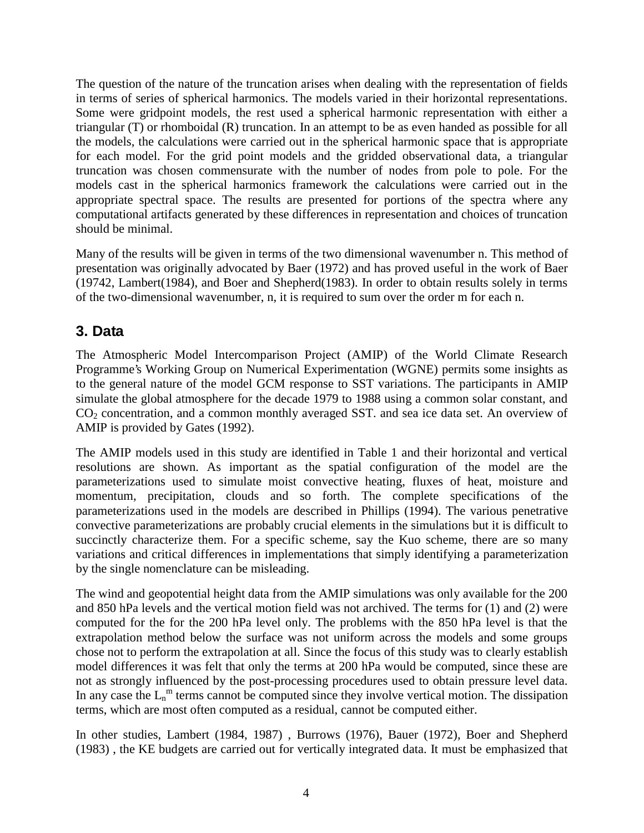The question of the nature of the truncation arises when dealing with the representation of fields in terms of series of spherical harmonics. The models varied in their horizontal representations. Some were gridpoint models, the rest used a spherical harmonic representation with either a triangular (T) or rhomboidal (R) truncation. In an attempt to be as even handed as possible for all the models, the calculations were carried out in the spherical harmonic space that is appropriate for each model. For the grid point models and the gridded observational data, a triangular truncation was chosen commensurate with the number of nodes from pole to pole. For the models cast in the spherical harmonics framework the calculations were carried out in the appropriate spectral space. The results are presented for portions of the spectra where any computational artifacts generated by these differences in representation and choices of truncation should be minimal.

Many of the results will be given in terms of the two dimensional wavenumber n. This method of presentation was originally advocated by Baer (1972) and has proved useful in the work of Baer (19742, Lambert(1984), and Boer and Shepherd(1983). In order to obtain results solely in terms of the two-dimensional wavenumber, n, it is required to sum over the order m for each n.

# **3. Data**

The Atmospheric Model Intercomparison Project (AMIP) of the World Climate Research Programme's Working Group on Numerical Experimentation (WGNE) permits some insights as to the general nature of the model GCM response to SST variations. The participants in AMIP simulate the global atmosphere for the decade 1979 to 1988 using a common solar constant, and  $CO<sub>2</sub>$  concentration, and a common monthly averaged SST. and sea ice data set. An overview of AMIP is provided by Gates (1992).

The AMIP models used in this study are identified in Table 1 and their horizontal and vertical resolutions are shown. As important as the spatial configuration of the model are the parameterizations used to simulate moist convective heating, fluxes of heat, moisture and momentum, precipitation, clouds and so forth. The complete specifications of the parameterizations used in the models are described in Phillips (1994). The various penetrative convective parameterizations are probably crucial elements in the simulations but it is difficult to succinctly characterize them. For a specific scheme, say the Kuo scheme, there are so many variations and critical differences in implementations that simply identifying a parameterization by the single nomenclature can be misleading.

The wind and geopotential height data from the AMIP simulations was only available for the 200 and 850 hPa levels and the vertical motion field was not archived. The terms for (1) and (2) were computed for the for the 200 hPa level only. The problems with the 850 hPa level is that the extrapolation method below the surface was not uniform across the models and some groups chose not to perform the extrapolation at all. Since the focus of this study was to clearly establish model differences it was felt that only the terms at 200 hPa would be computed, since these are not as strongly influenced by the post-processing procedures used to obtain pressure level data. In any case the  $L_n^m$  terms cannot be computed since they involve vertical motion. The dissipation terms, which are most often computed as a residual, cannot be computed either.

In other studies, Lambert (1984, 1987) , Burrows (1976), Bauer (1972), Boer and Shepherd (1983) , the KE budgets are carried out for vertically integrated data. It must be emphasized that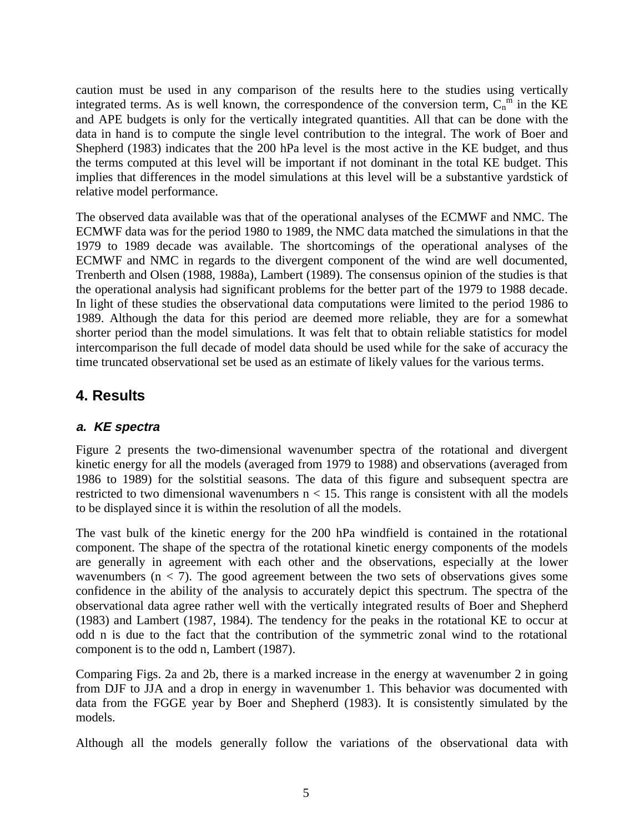caution must be used in any comparison of the results here to the studies using vertically integrated terms. As is well known, the correspondence of the conversion term,  $C_n^{\{m\}}$  in the KE and APE budgets is only for the vertically integrated quantities. All that can be done with the data in hand is to compute the single level contribution to the integral. The work of Boer and Shepherd (1983) indicates that the 200 hPa level is the most active in the KE budget, and thus the terms computed at this level will be important if not dominant in the total KE budget. This implies that differences in the model simulations at this level will be a substantive yardstick of relative model performance.

The observed data available was that of the operational analyses of the ECMWF and NMC. The ECMWF data was for the period 1980 to 1989, the NMC data matched the simulations in that the 1979 to 1989 decade was available. The shortcomings of the operational analyses of the ECMWF and NMC in regards to the divergent component of the wind are well documented, Trenberth and Olsen (1988, 1988a), Lambert (1989). The consensus opinion of the studies is that the operational analysis had significant problems for the better part of the 1979 to 1988 decade. In light of these studies the observational data computations were limited to the period 1986 to 1989. Although the data for this period are deemed more reliable, they are for a somewhat shorter period than the model simulations. It was felt that to obtain reliable statistics for model intercomparison the full decade of model data should be used while for the sake of accuracy the time truncated observational set be used as an estimate of likely values for the various terms.

## **4. Results**

### **a. KE spectra**

Figure 2 presents the two-dimensional wavenumber spectra of the rotational and divergent kinetic energy for all the models (averaged from 1979 to 1988) and observations (averaged from 1986 to 1989) for the solstitial seasons. The data of this figure and subsequent spectra are restricted to two dimensional wavenumbers  $n < 15$ . This range is consistent with all the models to be displayed since it is within the resolution of all the models.

The vast bulk of the kinetic energy for the 200 hPa windfield is contained in the rotational component. The shape of the spectra of the rotational kinetic energy components of the models are generally in agreement with each other and the observations, especially at the lower wavenumbers  $(n < 7)$ . The good agreement between the two sets of observations gives some confidence in the ability of the analysis to accurately depict this spectrum. The spectra of the observational data agree rather well with the vertically integrated results of Boer and Shepherd (1983) and Lambert (1987, 1984). The tendency for the peaks in the rotational KE to occur at odd n is due to the fact that the contribution of the symmetric zonal wind to the rotational component is to the odd n, Lambert (1987).

Comparing Figs. 2a and 2b, there is a marked increase in the energy at wavenumber 2 in going from DJF to JJA and a drop in energy in wavenumber 1. This behavior was documented with data from the FGGE year by Boer and Shepherd (1983). It is consistently simulated by the models.

Although all the models generally follow the variations of the observational data with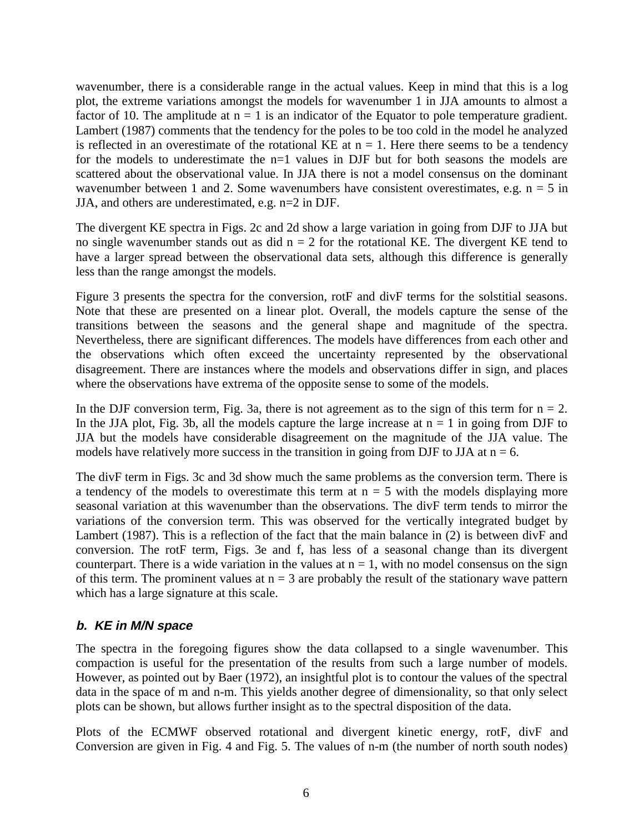wavenumber, there is a considerable range in the actual values. Keep in mind that this is a log plot, the extreme variations amongst the models for wavenumber 1 in JJA amounts to almost a factor of 10. The amplitude at  $n = 1$  is an indicator of the Equator to pole temperature gradient. Lambert (1987) comments that the tendency for the poles to be too cold in the model he analyzed is reflected in an overestimate of the rotational KE at  $n = 1$ . Here there seems to be a tendency for the models to underestimate the  $n=1$  values in DJF but for both seasons the models are scattered about the observational value. In JJA there is not a model consensus on the dominant wavenumber between 1 and 2. Some wavenumbers have consistent overestimates, e.g.  $n = 5$  in JJA, and others are underestimated, e.g. n=2 in DJF.

The divergent KE spectra in Figs. 2c and 2d show a large variation in going from DJF to JJA but no single wavenumber stands out as did  $n = 2$  for the rotational KE. The divergent KE tend to have a larger spread between the observational data sets, although this difference is generally less than the range amongst the models.

Figure 3 presents the spectra for the conversion, rotF and divF terms for the solstitial seasons. Note that these are presented on a linear plot. Overall, the models capture the sense of the transitions between the seasons and the general shape and magnitude of the spectra. Nevertheless, there are significant differences. The models have differences from each other and the observations which often exceed the uncertainty represented by the observational disagreement. There are instances where the models and observations differ in sign, and places where the observations have extrema of the opposite sense to some of the models.

In the DJF conversion term, Fig. 3a, there is not agreement as to the sign of this term for  $n = 2$ . In the JJA plot, Fig. 3b, all the models capture the large increase at  $n = 1$  in going from DJF to JJA but the models have considerable disagreement on the magnitude of the JJA value. The models have relatively more success in the transition in going from DJF to JJA at  $n = 6$ .

The divF term in Figs. 3c and 3d show much the same problems as the conversion term. There is a tendency of the models to overestimate this term at  $n = 5$  with the models displaying more seasonal variation at this wavenumber than the observations. The divF term tends to mirror the variations of the conversion term. This was observed for the vertically integrated budget by Lambert (1987). This is a reflection of the fact that the main balance in (2) is between divF and conversion. The rotF term, Figs. 3e and f, has less of a seasonal change than its divergent counterpart. There is a wide variation in the values at  $n = 1$ , with no model consensus on the sign of this term. The prominent values at  $n = 3$  are probably the result of the stationary wave pattern which has a large signature at this scale.

### **b. KE in M/N space**

The spectra in the foregoing figures show the data collapsed to a single wavenumber. This compaction is useful for the presentation of the results from such a large number of models. However, as pointed out by Baer (1972), an insightful plot is to contour the values of the spectral data in the space of m and n-m. This yields another degree of dimensionality, so that only select plots can be shown, but allows further insight as to the spectral disposition of the data.

Plots of the ECMWF observed rotational and divergent kinetic energy, rotF, divF and Conversion are given in Fig. 4 and Fig. 5. The values of n-m (the number of north south nodes)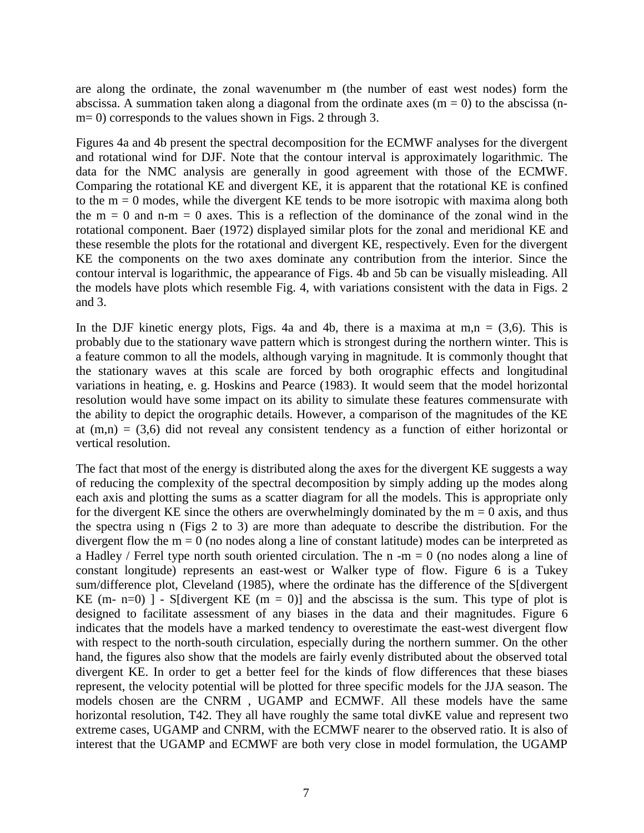are along the ordinate, the zonal wavenumber m (the number of east west nodes) form the abscissa. A summation taken along a diagonal from the ordinate axes  $(m = 0)$  to the abscissa (nm= 0) corresponds to the values shown in Figs. 2 through 3.

Figures 4a and 4b present the spectral decomposition for the ECMWF analyses for the divergent and rotational wind for DJF. Note that the contour interval is approximately logarithmic. The data for the NMC analysis are generally in good agreement with those of the ECMWF. Comparing the rotational KE and divergent KE, it is apparent that the rotational KE is confined to the  $m = 0$  modes, while the divergent KE tends to be more isotropic with maxima along both the  $m = 0$  and  $n-m = 0$  axes. This is a reflection of the dominance of the zonal wind in the rotational component. Baer (1972) displayed similar plots for the zonal and meridional KE and these resemble the plots for the rotational and divergent KE, respectively. Even for the divergent KE the components on the two axes dominate any contribution from the interior. Since the contour interval is logarithmic, the appearance of Figs. 4b and 5b can be visually misleading. All the models have plots which resemble Fig. 4, with variations consistent with the data in Figs. 2 and 3.

In the DJF kinetic energy plots, Figs. 4a and 4b, there is a maxima at  $m,n = (3,6)$ . This is probably due to the stationary wave pattern which is strongest during the northern winter. This is a feature common to all the models, although varying in magnitude. It is commonly thought that the stationary waves at this scale are forced by both orographic effects and longitudinal variations in heating, e. g. Hoskins and Pearce (1983). It would seem that the model horizontal resolution would have some impact on its ability to simulate these features commensurate with the ability to depict the orographic details. However, a comparison of the magnitudes of the KE at  $(m,n) = (3,6)$  did not reveal any consistent tendency as a function of either horizontal or vertical resolution.

The fact that most of the energy is distributed along the axes for the divergent KE suggests a way of reducing the complexity of the spectral decomposition by simply adding up the modes along each axis and plotting the sums as a scatter diagram for all the models. This is appropriate only for the divergent KE since the others are overwhelmingly dominated by the  $m = 0$  axis, and thus the spectra using n (Figs 2 to 3) are more than adequate to describe the distribution. For the divergent flow the  $m = 0$  (no nodes along a line of constant latitude) modes can be interpreted as a Hadley / Ferrel type north south oriented circulation. The  $n - m = 0$  (no nodes along a line of constant longitude) represents an east-west or Walker type of flow. Figure 6 is a Tukey sum/difference plot, Cleveland (1985), where the ordinate has the difference of the S[divergent KE (m- n=0) ] - S[divergent KE (m = 0)] and the abscissa is the sum. This type of plot is designed to facilitate assessment of any biases in the data and their magnitudes. Figure 6 indicates that the models have a marked tendency to overestimate the east-west divergent flow with respect to the north-south circulation, especially during the northern summer. On the other hand, the figures also show that the models are fairly evenly distributed about the observed total divergent KE. In order to get a better feel for the kinds of flow differences that these biases represent, the velocity potential will be plotted for three specific models for the JJA season. The models chosen are the CNRM , UGAMP and ECMWF. All these models have the same horizontal resolution, T42. They all have roughly the same total divKE value and represent two extreme cases, UGAMP and CNRM, with the ECMWF nearer to the observed ratio. It is also of interest that the UGAMP and ECMWF are both very close in model formulation, the UGAMP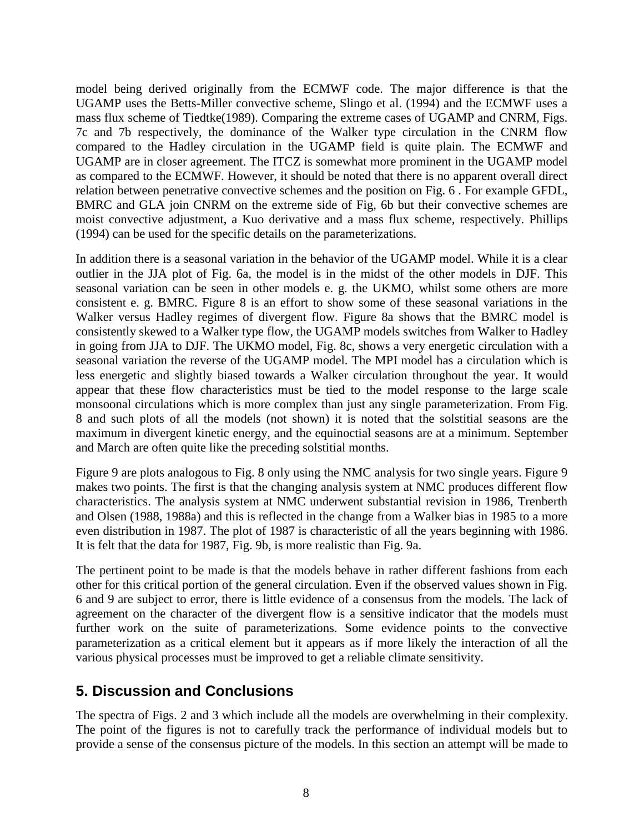model being derived originally from the ECMWF code. The major difference is that the UGAMP uses the Betts-Miller convective scheme, Slingo et al. (1994) and the ECMWF uses a mass flux scheme of Tiedtke(1989). Comparing the extreme cases of UGAMP and CNRM, Figs. 7c and 7b respectively, the dominance of the Walker type circulation in the CNRM flow compared to the Hadley circulation in the UGAMP field is quite plain. The ECMWF and UGAMP are in closer agreement. The ITCZ is somewhat more prominent in the UGAMP model as compared to the ECMWF. However, it should be noted that there is no apparent overall direct relation between penetrative convective schemes and the position on Fig. 6 . For example GFDL, BMRC and GLA join CNRM on the extreme side of Fig, 6b but their convective schemes are moist convective adjustment, a Kuo derivative and a mass flux scheme, respectively. Phillips (1994) can be used for the specific details on the parameterizations.

In addition there is a seasonal variation in the behavior of the UGAMP model. While it is a clear outlier in the JJA plot of Fig. 6a, the model is in the midst of the other models in DJF. This seasonal variation can be seen in other models e. g. the UKMO, whilst some others are more consistent e. g. BMRC. Figure 8 is an effort to show some of these seasonal variations in the Walker versus Hadley regimes of divergent flow. Figure 8a shows that the BMRC model is consistently skewed to a Walker type flow, the UGAMP models switches from Walker to Hadley in going from JJA to DJF. The UKMO model, Fig. 8c, shows a very energetic circulation with a seasonal variation the reverse of the UGAMP model. The MPI model has a circulation which is less energetic and slightly biased towards a Walker circulation throughout the year. It would appear that these flow characteristics must be tied to the model response to the large scale monsoonal circulations which is more complex than just any single parameterization. From Fig. 8 and such plots of all the models (not shown) it is noted that the solstitial seasons are the maximum in divergent kinetic energy, and the equinoctial seasons are at a minimum. September and March are often quite like the preceding solstitial months.

Figure 9 are plots analogous to Fig. 8 only using the NMC analysis for two single years. Figure 9 makes two points. The first is that the changing analysis system at NMC produces different flow characteristics. The analysis system at NMC underwent substantial revision in 1986, Trenberth and Olsen (1988, 1988a) and this is reflected in the change from a Walker bias in 1985 to a more even distribution in 1987. The plot of 1987 is characteristic of all the years beginning with 1986. It is felt that the data for 1987, Fig. 9b, is more realistic than Fig. 9a.

The pertinent point to be made is that the models behave in rather different fashions from each other for this critical portion of the general circulation. Even if the observed values shown in Fig. 6 and 9 are subject to error, there is little evidence of a consensus from the models. The lack of agreement on the character of the divergent flow is a sensitive indicator that the models must further work on the suite of parameterizations. Some evidence points to the convective parameterization as a critical element but it appears as if more likely the interaction of all the various physical processes must be improved to get a reliable climate sensitivity.

## **5. Discussion and Conclusions**

The spectra of Figs. 2 and 3 which include all the models are overwhelming in their complexity. The point of the figures is not to carefully track the performance of individual models but to provide a sense of the consensus picture of the models. In this section an attempt will be made to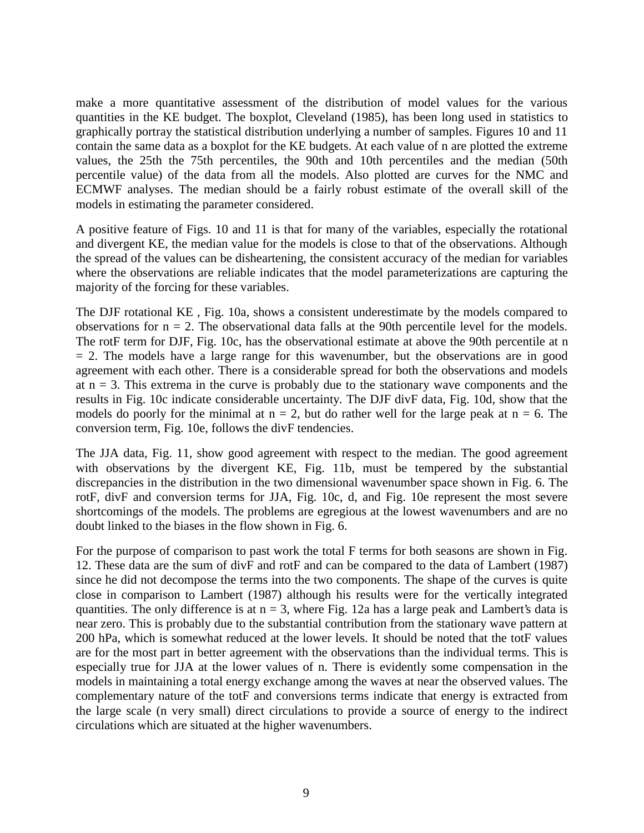make a more quantitative assessment of the distribution of model values for the various quantities in the KE budget. The boxplot, Cleveland (1985), has been long used in statistics to graphically portray the statistical distribution underlying a number of samples. Figures 10 and 11 contain the same data as a boxplot for the KE budgets. At each value of n are plotted the extreme values, the 25th the 75th percentiles, the 90th and 10th percentiles and the median (50th percentile value) of the data from all the models. Also plotted are curves for the NMC and ECMWF analyses. The median should be a fairly robust estimate of the overall skill of the models in estimating the parameter considered.

A positive feature of Figs. 10 and 11 is that for many of the variables, especially the rotational and divergent KE, the median value for the models is close to that of the observations. Although the spread of the values can be disheartening, the consistent accuracy of the median for variables where the observations are reliable indicates that the model parameterizations are capturing the majority of the forcing for these variables.

The DJF rotational KE , Fig. 10a, shows a consistent underestimate by the models compared to observations for  $n = 2$ . The observational data falls at the 90th percentile level for the models. The rotF term for DJF, Fig. 10c, has the observational estimate at above the 90th percentile at n  $= 2$ . The models have a large range for this wavenumber, but the observations are in good agreement with each other. There is a considerable spread for both the observations and models at  $n = 3$ . This extrema in the curve is probably due to the stationary wave components and the results in Fig. 10c indicate considerable uncertainty. The DJF divF data, Fig. 10d, show that the models do poorly for the minimal at  $n = 2$ , but do rather well for the large peak at  $n = 6$ . The conversion term, Fig. 10e, follows the divF tendencies.

The JJA data, Fig. 11, show good agreement with respect to the median. The good agreement with observations by the divergent KE, Fig. 11b, must be tempered by the substantial discrepancies in the distribution in the two dimensional wavenumber space shown in Fig. 6. The rotF, divF and conversion terms for JJA, Fig. 10c, d, and Fig. 10e represent the most severe shortcomings of the models. The problems are egregious at the lowest wavenumbers and are no doubt linked to the biases in the flow shown in Fig. 6.

For the purpose of comparison to past work the total F terms for both seasons are shown in Fig. 12. These data are the sum of divF and rotF and can be compared to the data of Lambert (1987) since he did not decompose the terms into the two components. The shape of the curves is quite close in comparison to Lambert (1987) although his results were for the vertically integrated quantities. The only difference is at  $n = 3$ , where Fig. 12a has a large peak and Lambert's data is near zero. This is probably due to the substantial contribution from the stationary wave pattern at 200 hPa, which is somewhat reduced at the lower levels. It should be noted that the totF values are for the most part in better agreement with the observations than the individual terms. This is especially true for JJA at the lower values of n. There is evidently some compensation in the models in maintaining a total energy exchange among the waves at near the observed values. The complementary nature of the totF and conversions terms indicate that energy is extracted from the large scale (n very small) direct circulations to provide a source of energy to the indirect circulations which are situated at the higher wavenumbers.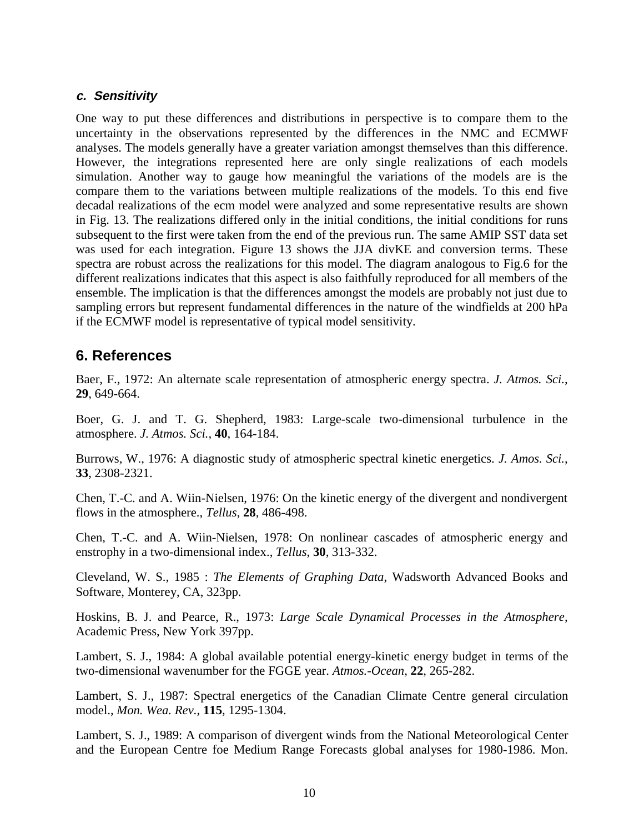#### **c. Sensitivity**

One way to put these differences and distributions in perspective is to compare them to the uncertainty in the observations represented by the differences in the NMC and ECMWF analyses. The models generally have a greater variation amongst themselves than this difference. However, the integrations represented here are only single realizations of each models simulation. Another way to gauge how meaningful the variations of the models are is the compare them to the variations between multiple realizations of the models. To this end five decadal realizations of the ecm model were analyzed and some representative results are shown in Fig. 13. The realizations differed only in the initial conditions, the initial conditions for runs subsequent to the first were taken from the end of the previous run. The same AMIP SST data set was used for each integration. Figure 13 shows the JJA divKE and conversion terms. These spectra are robust across the realizations for this model. The diagram analogous to Fig.6 for the different realizations indicates that this aspect is also faithfully reproduced for all members of the ensemble. The implication is that the differences amongst the models are probably not just due to sampling errors but represent fundamental differences in the nature of the windfields at 200 hPa if the ECMWF model is representative of typical model sensitivity.

## **6. References**

Baer, F., 1972: An alternate scale representation of atmospheric energy spectra. *J. Atmos. Sci.*, **29**, 649-664.

Boer, G. J. and T. G. Shepherd, 1983: Large-scale two-dimensional turbulence in the atmosphere. *J. Atmos. Sci.*, **40**, 164-184.

Burrows, W., 1976: A diagnostic study of atmospheric spectral kinetic energetics. *J. Amos. Sci.*, **33**, 2308-2321.

Chen, T.-C. and A. Wiin-Nielsen, 1976: On the kinetic energy of the divergent and nondivergent flows in the atmosphere., *Tellus*, **28**, 486-498.

Chen, T.-C. and A. Wiin-Nielsen, 1978: On nonlinear cascades of atmospheric energy and enstrophy in a two-dimensional index., *Tellus*, **30**, 313-332.

Cleveland, W. S., 1985 : *The Elements of Graphing Data*, Wadsworth Advanced Books and Software, Monterey, CA, 323pp.

Hoskins, B. J. and Pearce, R., 1973: *Large Scale Dynamical Processes in the Atmosphere*, Academic Press, New York 397pp.

Lambert, S. J., 1984: A global available potential energy-kinetic energy budget in terms of the two-dimensional wavenumber for the FGGE year. *Atmos.-Ocean*, **22**, 265-282.

Lambert, S. J., 1987: Spectral energetics of the Canadian Climate Centre general circulation model., *Mon. Wea. Rev.*, **115**, 1295-1304.

Lambert, S. J., 1989: A comparison of divergent winds from the National Meteorological Center and the European Centre foe Medium Range Forecasts global analyses for 1980-1986. Mon.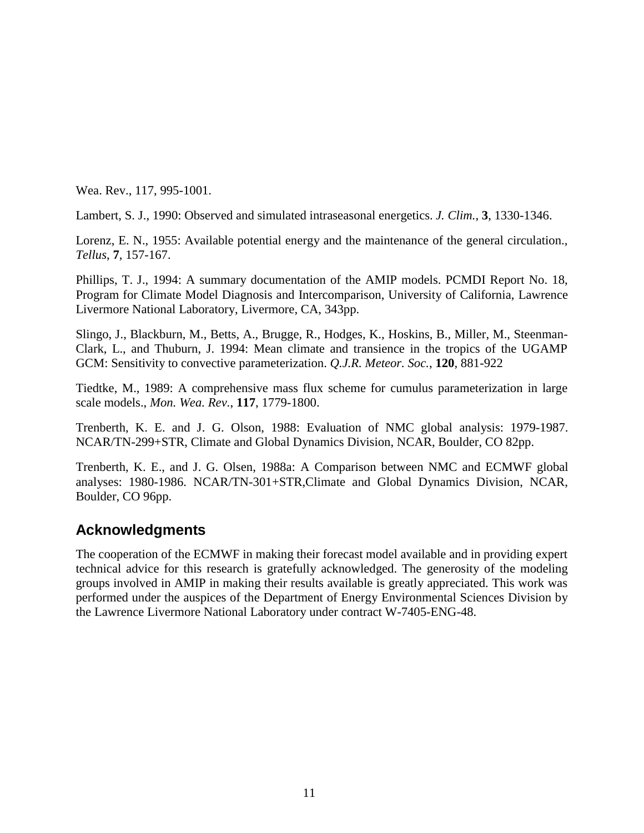Wea. Rev., 117, 995-1001.

Lambert, S. J., 1990: Observed and simulated intraseasonal energetics. *J. Clim.*, **3**, 1330-1346.

Lorenz, E. N., 1955: Available potential energy and the maintenance of the general circulation., *Tellus*, **7**, 157-167.

Phillips, T. J., 1994: A summary documentation of the AMIP models. PCMDI Report No. 18, Program for Climate Model Diagnosis and Intercomparison, University of California, Lawrence Livermore National Laboratory, Livermore, CA, 343pp.

Slingo, J., Blackburn, M., Betts, A., Brugge, R., Hodges, K., Hoskins, B., Miller, M., Steenman-Clark, L., and Thuburn, J. 1994: Mean climate and transience in the tropics of the UGAMP GCM: Sensitivity to convective parameterization. *Q.J.R. Meteor. Soc.*, **120**, 881-922

Tiedtke, M., 1989: A comprehensive mass flux scheme for cumulus parameterization in large scale models., *Mon. Wea. Rev.*, **117**, 1779-1800.

Trenberth, K. E. and J. G. Olson, 1988: Evaluation of NMC global analysis: 1979-1987. NCAR/TN-299+STR, Climate and Global Dynamics Division, NCAR, Boulder, CO 82pp.

Trenberth, K. E., and J. G. Olsen, 1988a: A Comparison between NMC and ECMWF global analyses: 1980-1986. NCAR/TN-301+STR,Climate and Global Dynamics Division, NCAR, Boulder, CO 96pp.

## **Acknowledgments**

The cooperation of the ECMWF in making their forecast model available and in providing expert technical advice for this research is gratefully acknowledged. The generosity of the modeling groups involved in AMIP in making their results available is greatly appreciated. This work was performed under the auspices of the Department of Energy Environmental Sciences Division by the Lawrence Livermore National Laboratory under contract W-7405-ENG-48.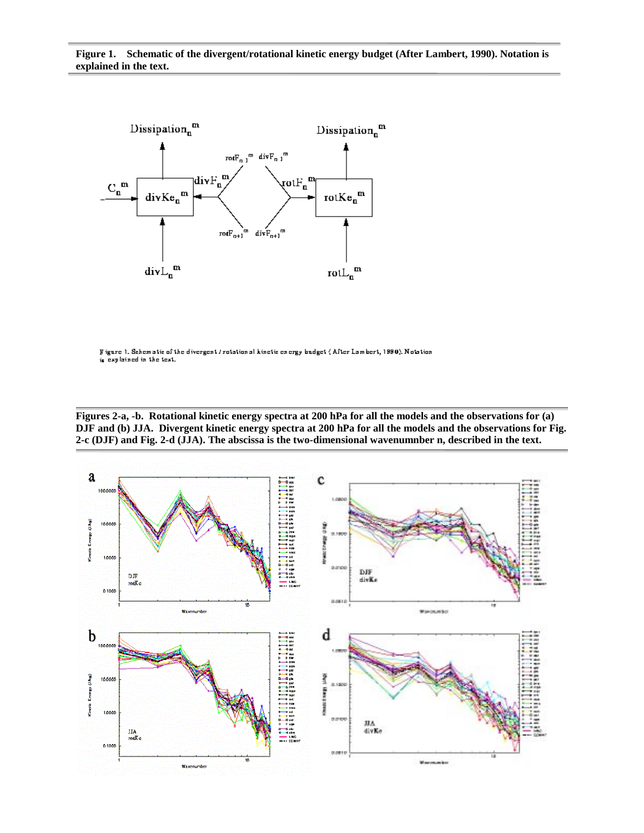

Figure 1. Schematic of the divergent / rotation al kinetic energy budget (After Lambert, 1990). Notation is explained in the text.

**Figures 2-a, -b. Rotational kinetic energy spectra at 200 hPa for all the models and the observations for (a) DJF and (b) JJA. Divergent kinetic energy spectra at 200 hPa for all the models and the observations for Fig. 2-c (DJF) and Fig. 2-d (JJA). The abscissa is the two-dimensional wavenumnber n, described in the text.**

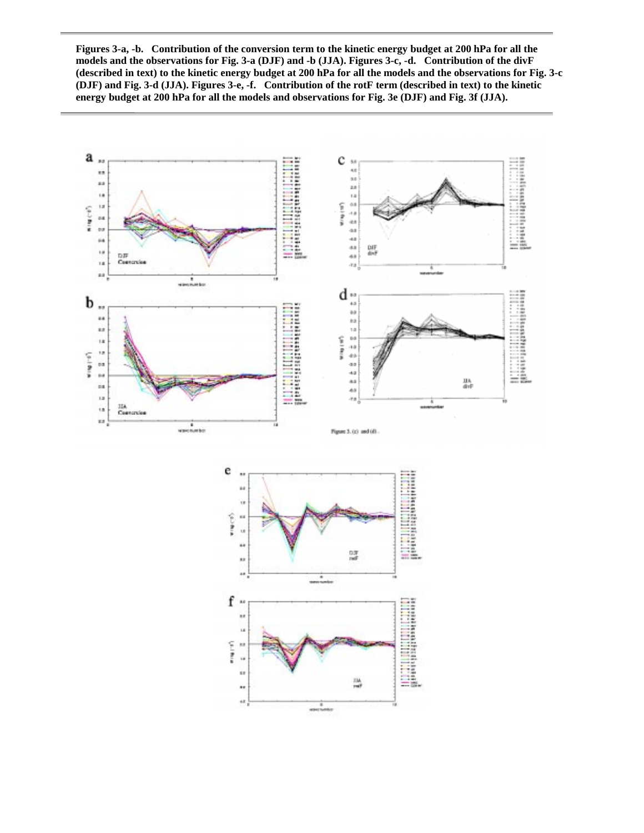**Figures 3-a, -b. Contribution of the conversion term to the kinetic energy budget at 200 hPa for all the models and the observations for Fig. 3-a (DJF) and -b (JJA). Figures 3-c, -d. Contribution of the divF (described in text) to the kinetic energy budget at 200 hPa for all the models and the observations for Fig. 3-c (DJF) and Fig. 3-d (JJA). Figures 3-e, -f. Contribution of the rotF term (described in text) to the kinetic energy budget at 200 hPa for all the models and observations for Fig. 3e (DJF) and Fig. 3f (JJA).**

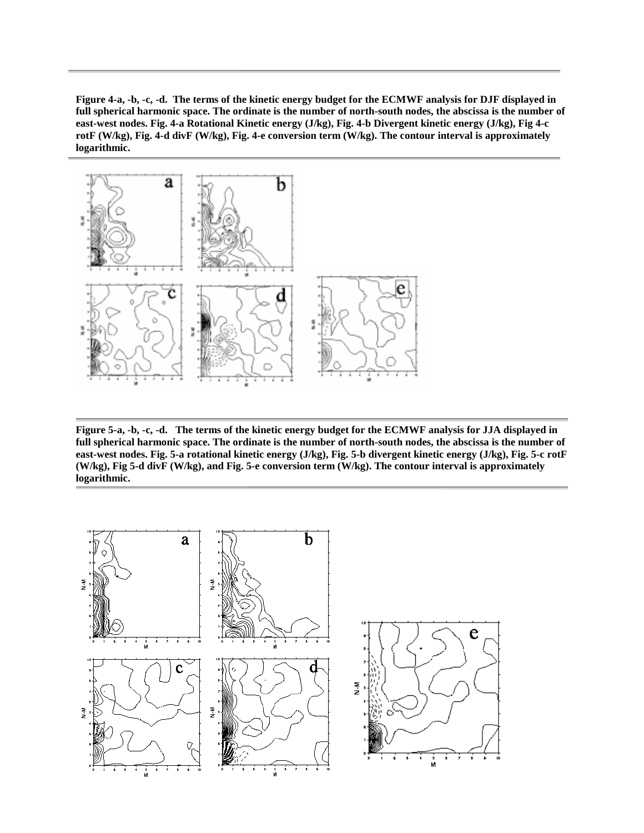**Figure 4-a, -b, -c, -d. The terms of the kinetic energy budget for the ECMWF analysis for DJF displayed in full spherical harmonic space. The ordinate is the number of north-south nodes, the abscissa is the number of east-west nodes. Fig. 4-a Rotational Kinetic energy (J/kg), Fig. 4-b Divergent kinetic energy (J/kg), Fig 4-c rotF (W/kg), Fig. 4-d divF (W/kg), Fig. 4-e conversion term (W/kg). The contour interval is approximately logarithmic.**



**Figure 5-a, -b, -c, -d. The terms of the kinetic energy budget for the ECMWF analysis for JJA displayed in full spherical harmonic space. The ordinate is the number of north-south nodes, the abscissa is the number of east-west nodes. Fig. 5-a rotational kinetic energy (J/kg), Fig. 5-b divergent kinetic energy (J/kg), Fig. 5-c rotF (W/kg), Fig 5-d divF (W/kg), and Fig. 5-e conversion term (W/kg). The contour interval is approximately logarithmic.**

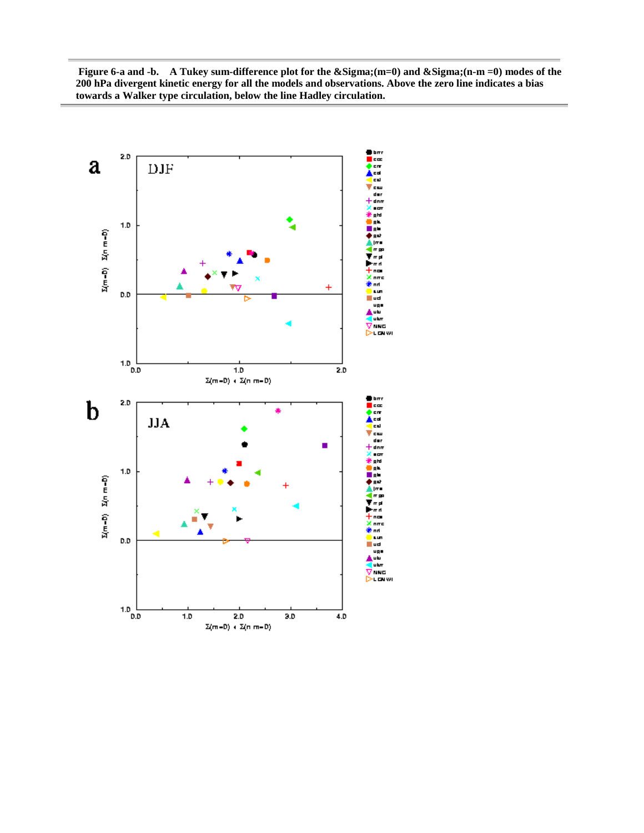**Figure 6-a and -b.** A Tukey sum-difference plot for the Σ(m=0) and Σ(n-m =0) modes of the **200 hPa divergent kinetic energy for all the models and observations. Above the zero line indicates a bias towards a Walker type circulation, below the line Hadley circulation.**

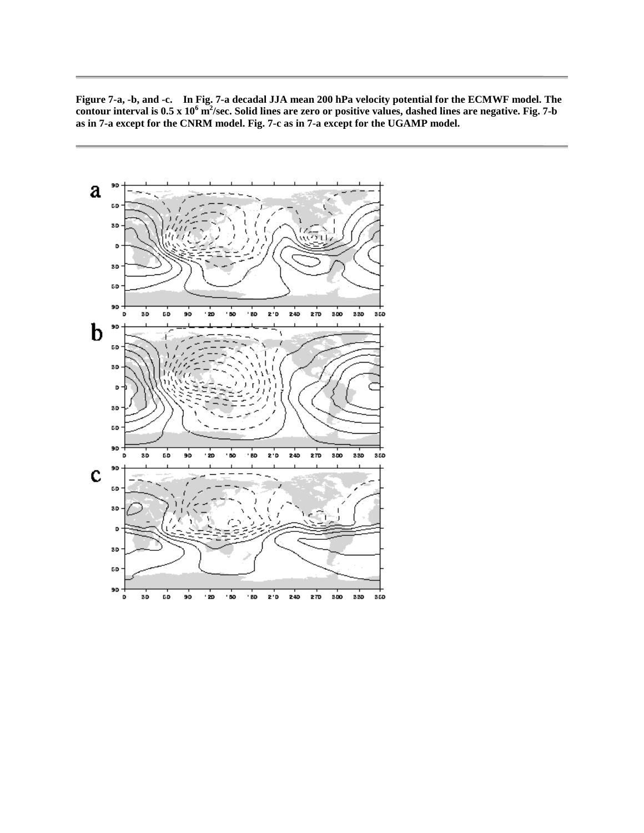**Figure 7-a, -b, and -c. In Fig. 7-a decadal JJA mean 200 hPa velocity potential for the ECMWF model. The contour interval is 0.5 x 10<sup>6</sup> m2 /sec. Solid lines are zero or positive values, dashed lines are negative. Fig. 7-b as in 7-a except for the CNRM model. Fig. 7-c as in 7-a except for the UGAMP model.**

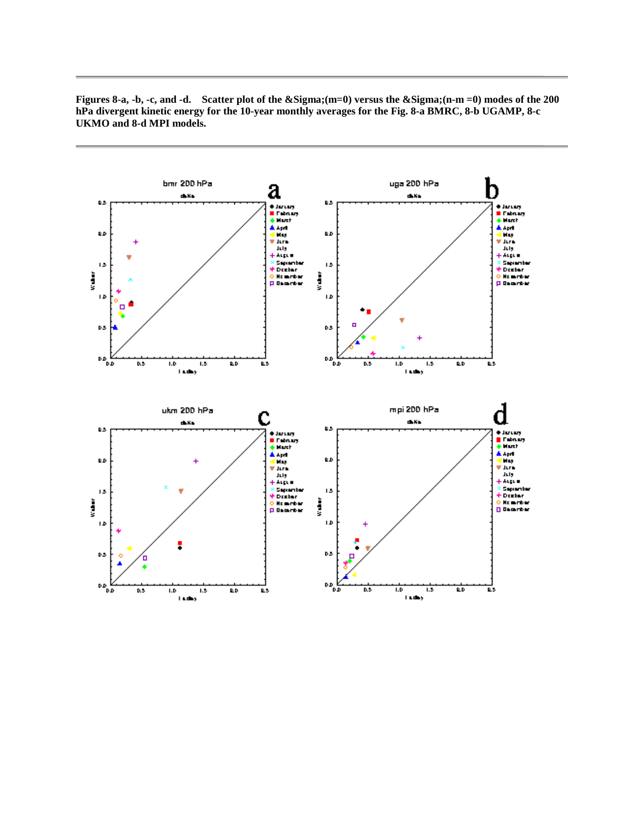

**Figures 8-a, -b, -c, and -d.** Scatter plot of the Σ(m=0) versus the Σ(n-m =0) modes of the 200 **hPa divergent kinetic energy for the 10-year monthly averages for the Fig. 8-a BMRC, 8-b UGAMP, 8-c UKMO and 8-d MPI models.**